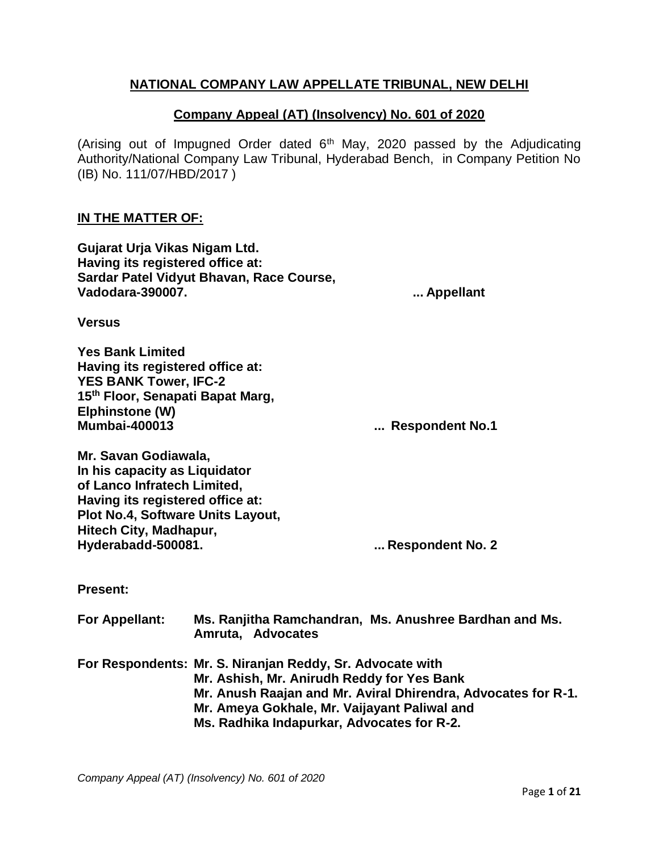# **NATIONAL COMPANY LAW APPELLATE TRIBUNAL, NEW DELHI**

## **Company Appeal (AT) (Insolvency) No. 601 of 2020**

(Arising out of Impugned Order dated  $6<sup>th</sup>$  May, 2020 passed by the Adjudicating Authority/National Company Law Tribunal, Hyderabad Bench, in Company Petition No (IB) No. 111/07/HBD/2017 )

#### **IN THE MATTER OF:**

**Gujarat Urja Vikas Nigam Ltd. Having its registered office at: Sardar Patel Vidyut Bhavan, Race Course, Vadodara-390007. ... Appellant**

**Versus**

**Yes Bank Limited Having its registered office at: YES BANK Tower, IFC-2 15th Floor, Senapati Bapat Marg, Elphinstone (W) Mumbai-400013 ... Respondent No.1**

**Mr. Savan Godiawala, In his capacity as Liquidator of Lanco Infratech Limited, Having its registered office at: Plot No.4, Software Units Layout, Hitech City, Madhapur, Hyderabadd-500081. ... Respondent No. 2**

**Present:**

| For Appellant: | Ms. Ranjitha Ramchandran, Ms. Anushree Bardhan and Ms.<br>Amruta, Advocates |
|----------------|-----------------------------------------------------------------------------|
|                | For Respondents: Mr. S. Niranjan Reddy, Sr. Advocate with                   |
|                | Mr. Ashish, Mr. Anirudh Reddy for Yes Bank                                  |
|                | Mr. Anush Raajan and Mr. Aviral Dhirendra, Advocates for R-1.               |
|                | Mr. Ameya Gokhale, Mr. Vaijayant Paliwal and                                |
|                | Ms. Radhika Indapurkar, Advocates for R-2.                                  |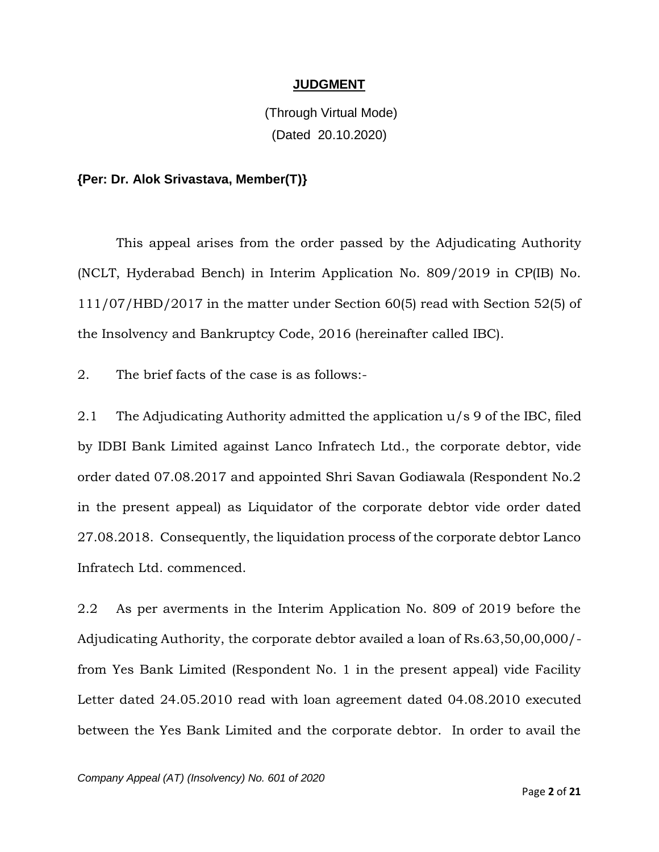## **JUDGMENT**

(Through Virtual Mode) (Dated 20.10.2020)

#### **{Per: Dr. Alok Srivastava, Member(T)}**

This appeal arises from the order passed by the Adjudicating Authority (NCLT, Hyderabad Bench) in Interim Application No. 809/2019 in CP(IB) No. 111/07/HBD/2017 in the matter under Section 60(5) read with Section 52(5) of the Insolvency and Bankruptcy Code, 2016 (hereinafter called IBC).

2. The brief facts of the case is as follows:-

2.1 The Adjudicating Authority admitted the application u/s 9 of the IBC, filed by IDBI Bank Limited against Lanco Infratech Ltd., the corporate debtor, vide order dated 07.08.2017 and appointed Shri Savan Godiawala (Respondent No.2 in the present appeal) as Liquidator of the corporate debtor vide order dated 27.08.2018. Consequently, the liquidation process of the corporate debtor Lanco Infratech Ltd. commenced.

2.2 As per averments in the Interim Application No. 809 of 2019 before the Adjudicating Authority, the corporate debtor availed a loan of Rs.63,50,00,000/ from Yes Bank Limited (Respondent No. 1 in the present appeal) vide Facility Letter dated 24.05.2010 read with loan agreement dated 04.08.2010 executed between the Yes Bank Limited and the corporate debtor. In order to avail the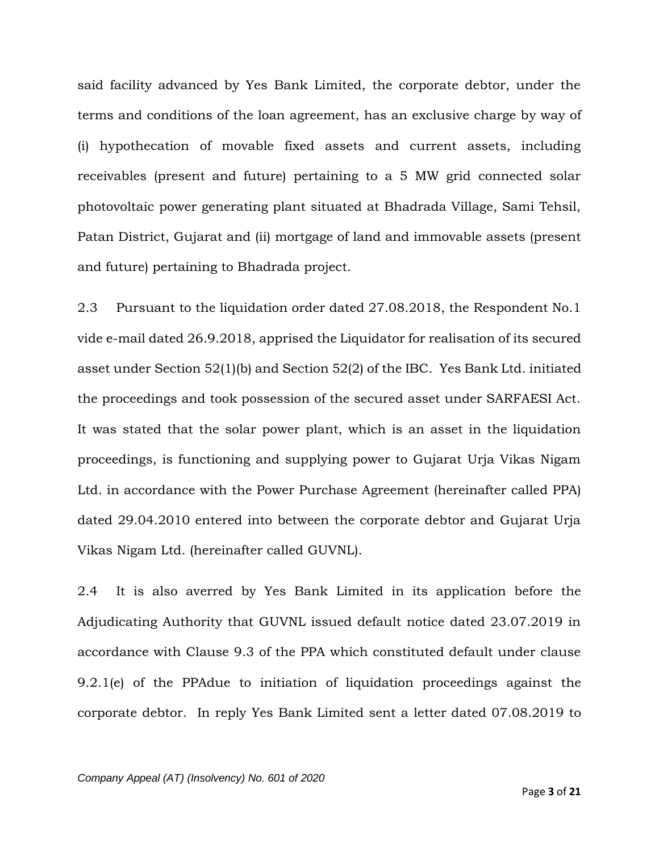said facility advanced by Yes Bank Limited, the corporate debtor, under the terms and conditions of the loan agreement, has an exclusive charge by way of (i) hypothecation of movable fixed assets and current assets, including receivables (present and future) pertaining to a 5 MW grid connected solar photovoltaic power generating plant situated at Bhadrada Village, Sami Tehsil, Patan District, Gujarat and (ii) mortgage of land and immovable assets (present and future) pertaining to Bhadrada project.

2.3 Pursuant to the liquidation order dated 27.08.2018, the Respondent No.1 vide e-mail dated 26.9.2018, apprised the Liquidator for realisation of its secured asset under Section 52(1)(b) and Section 52(2) of the IBC. Yes Bank Ltd. initiated the proceedings and took possession of the secured asset under SARFAESI Act. It was stated that the solar power plant, which is an asset in the liquidation proceedings, is functioning and supplying power to Gujarat Urja Vikas Nigam Ltd. in accordance with the Power Purchase Agreement (hereinafter called PPA) dated 29.04.2010 entered into between the corporate debtor and Gujarat Urja Vikas Nigam Ltd. (hereinafter called GUVNL).

2.4 It is also averred by Yes Bank Limited in its application before the Adjudicating Authority that GUVNL issued default notice dated 23.07.2019 in accordance with Clause 9.3 of the PPA which constituted default under clause 9.2.1(e) of the PPAdue to initiation of liquidation proceedings against the corporate debtor. In reply Yes Bank Limited sent a letter dated 07.08.2019 to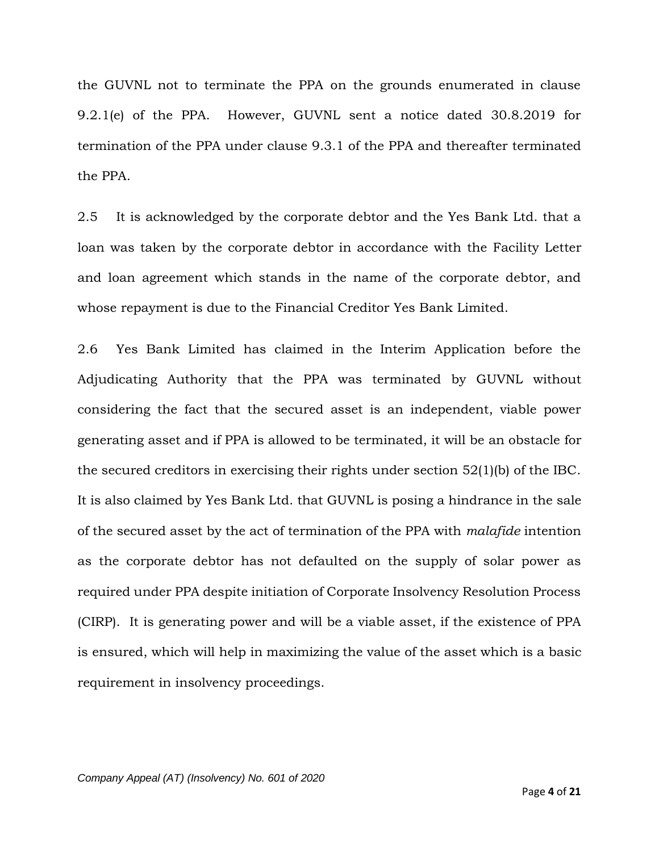the GUVNL not to terminate the PPA on the grounds enumerated in clause 9.2.1(e) of the PPA. However, GUVNL sent a notice dated 30.8.2019 for termination of the PPA under clause 9.3.1 of the PPA and thereafter terminated the PPA.

2.5 It is acknowledged by the corporate debtor and the Yes Bank Ltd. that a loan was taken by the corporate debtor in accordance with the Facility Letter and loan agreement which stands in the name of the corporate debtor, and whose repayment is due to the Financial Creditor Yes Bank Limited.

2.6 Yes Bank Limited has claimed in the Interim Application before the Adjudicating Authority that the PPA was terminated by GUVNL without considering the fact that the secured asset is an independent, viable power generating asset and if PPA is allowed to be terminated, it will be an obstacle for the secured creditors in exercising their rights under section 52(1)(b) of the IBC. It is also claimed by Yes Bank Ltd. that GUVNL is posing a hindrance in the sale of the secured asset by the act of termination of the PPA with *malafide* intention as the corporate debtor has not defaulted on the supply of solar power as required under PPA despite initiation of Corporate Insolvency Resolution Process (CIRP). It is generating power and will be a viable asset, if the existence of PPA is ensured, which will help in maximizing the value of the asset which is a basic requirement in insolvency proceedings.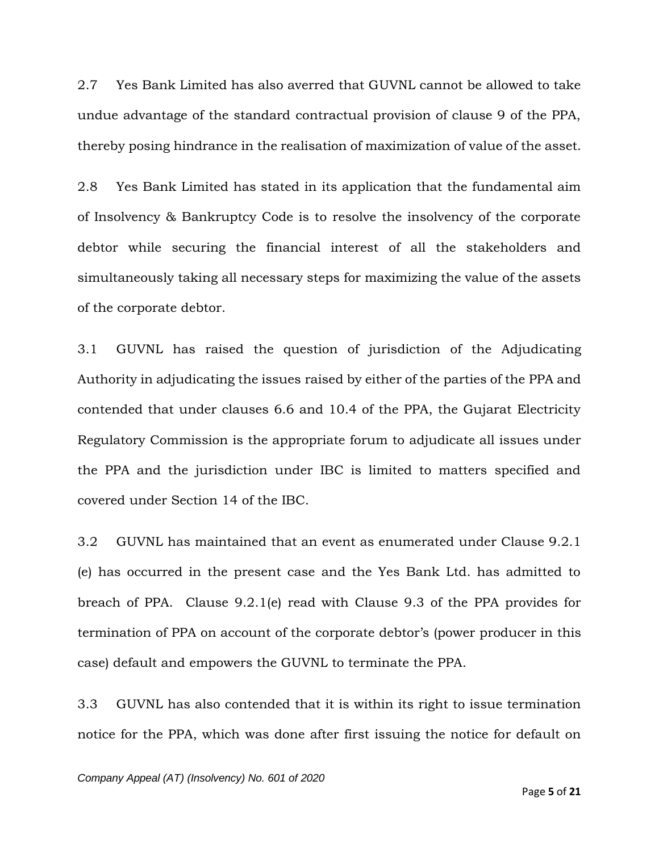2.7 Yes Bank Limited has also averred that GUVNL cannot be allowed to take undue advantage of the standard contractual provision of clause 9 of the PPA, thereby posing hindrance in the realisation of maximization of value of the asset.

2.8 Yes Bank Limited has stated in its application that the fundamental aim of Insolvency & Bankruptcy Code is to resolve the insolvency of the corporate debtor while securing the financial interest of all the stakeholders and simultaneously taking all necessary steps for maximizing the value of the assets of the corporate debtor.

3.1 GUVNL has raised the question of jurisdiction of the Adjudicating Authority in adjudicating the issues raised by either of the parties of the PPA and contended that under clauses 6.6 and 10.4 of the PPA, the Gujarat Electricity Regulatory Commission is the appropriate forum to adjudicate all issues under the PPA and the jurisdiction under IBC is limited to matters specified and covered under Section 14 of the IBC.

3.2 GUVNL has maintained that an event as enumerated under Clause 9.2.1 (e) has occurred in the present case and the Yes Bank Ltd. has admitted to breach of PPA. Clause 9.2.1(e) read with Clause 9.3 of the PPA provides for termination of PPA on account of the corporate debtor's (power producer in this case) default and empowers the GUVNL to terminate the PPA.

3.3 GUVNL has also contended that it is within its right to issue termination notice for the PPA, which was done after first issuing the notice for default on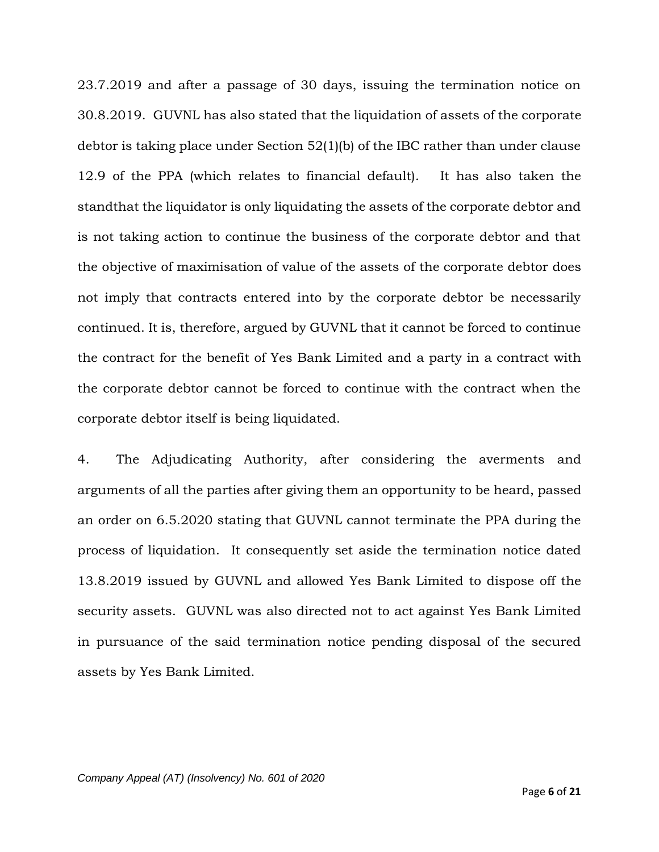23.7.2019 and after a passage of 30 days, issuing the termination notice on 30.8.2019. GUVNL has also stated that the liquidation of assets of the corporate debtor is taking place under Section 52(1)(b) of the IBC rather than under clause 12.9 of the PPA (which relates to financial default). It has also taken the standthat the liquidator is only liquidating the assets of the corporate debtor and is not taking action to continue the business of the corporate debtor and that the objective of maximisation of value of the assets of the corporate debtor does not imply that contracts entered into by the corporate debtor be necessarily continued. It is, therefore, argued by GUVNL that it cannot be forced to continue the contract for the benefit of Yes Bank Limited and a party in a contract with the corporate debtor cannot be forced to continue with the contract when the corporate debtor itself is being liquidated.

4. The Adjudicating Authority, after considering the averments and arguments of all the parties after giving them an opportunity to be heard, passed an order on 6.5.2020 stating that GUVNL cannot terminate the PPA during the process of liquidation. It consequently set aside the termination notice dated 13.8.2019 issued by GUVNL and allowed Yes Bank Limited to dispose off the security assets. GUVNL was also directed not to act against Yes Bank Limited in pursuance of the said termination notice pending disposal of the secured assets by Yes Bank Limited.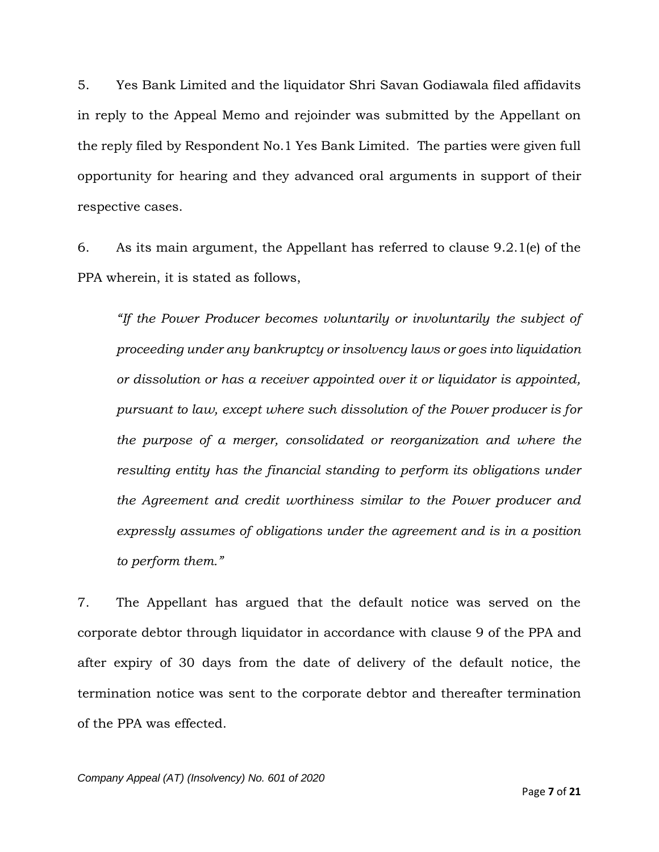5. Yes Bank Limited and the liquidator Shri Savan Godiawala filed affidavits in reply to the Appeal Memo and rejoinder was submitted by the Appellant on the reply filed by Respondent No.1 Yes Bank Limited. The parties were given full opportunity for hearing and they advanced oral arguments in support of their respective cases.

6. As its main argument, the Appellant has referred to clause 9.2.1(e) of the PPA wherein, it is stated as follows,

*"If the Power Producer becomes voluntarily or involuntarily the subject of proceeding under any bankruptcy or insolvency laws or goes into liquidation or dissolution or has a receiver appointed over it or liquidator is appointed, pursuant to law, except where such dissolution of the Power producer is for the purpose of a merger, consolidated or reorganization and where the resulting entity has the financial standing to perform its obligations under the Agreement and credit worthiness similar to the Power producer and expressly assumes of obligations under the agreement and is in a position to perform them."*

7. The Appellant has argued that the default notice was served on the corporate debtor through liquidator in accordance with clause 9 of the PPA and after expiry of 30 days from the date of delivery of the default notice, the termination notice was sent to the corporate debtor and thereafter termination of the PPA was effected.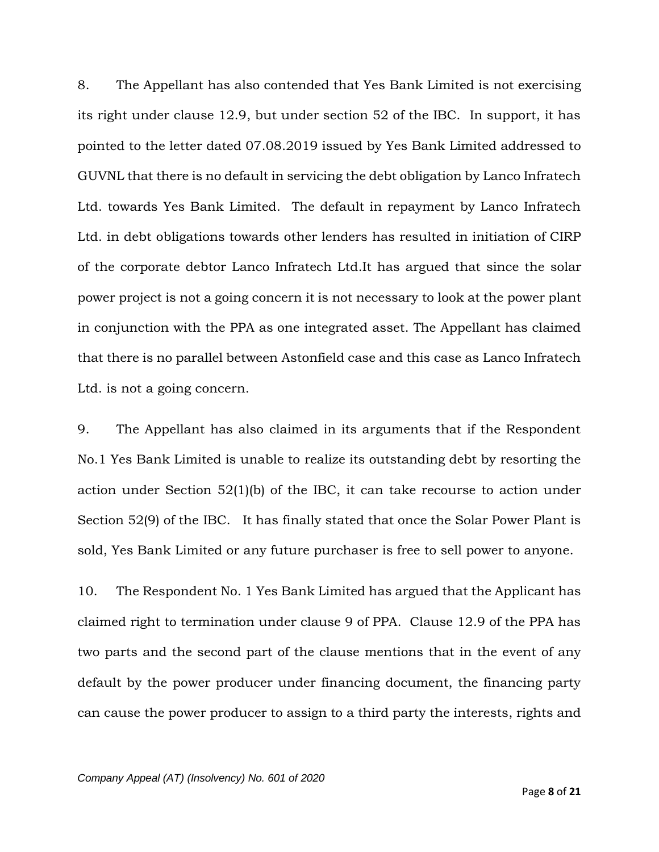8. The Appellant has also contended that Yes Bank Limited is not exercising its right under clause 12.9, but under section 52 of the IBC. In support, it has pointed to the letter dated 07.08.2019 issued by Yes Bank Limited addressed to GUVNL that there is no default in servicing the debt obligation by Lanco Infratech Ltd. towards Yes Bank Limited. The default in repayment by Lanco Infratech Ltd. in debt obligations towards other lenders has resulted in initiation of CIRP of the corporate debtor Lanco Infratech Ltd.It has argued that since the solar power project is not a going concern it is not necessary to look at the power plant in conjunction with the PPA as one integrated asset. The Appellant has claimed that there is no parallel between Astonfield case and this case as Lanco Infratech Ltd. is not a going concern.

9. The Appellant has also claimed in its arguments that if the Respondent No.1 Yes Bank Limited is unable to realize its outstanding debt by resorting the action under Section 52(1)(b) of the IBC, it can take recourse to action under Section 52(9) of the IBC. It has finally stated that once the Solar Power Plant is sold, Yes Bank Limited or any future purchaser is free to sell power to anyone.

10. The Respondent No. 1 Yes Bank Limited has argued that the Applicant has claimed right to termination under clause 9 of PPA. Clause 12.9 of the PPA has two parts and the second part of the clause mentions that in the event of any default by the power producer under financing document, the financing party can cause the power producer to assign to a third party the interests, rights and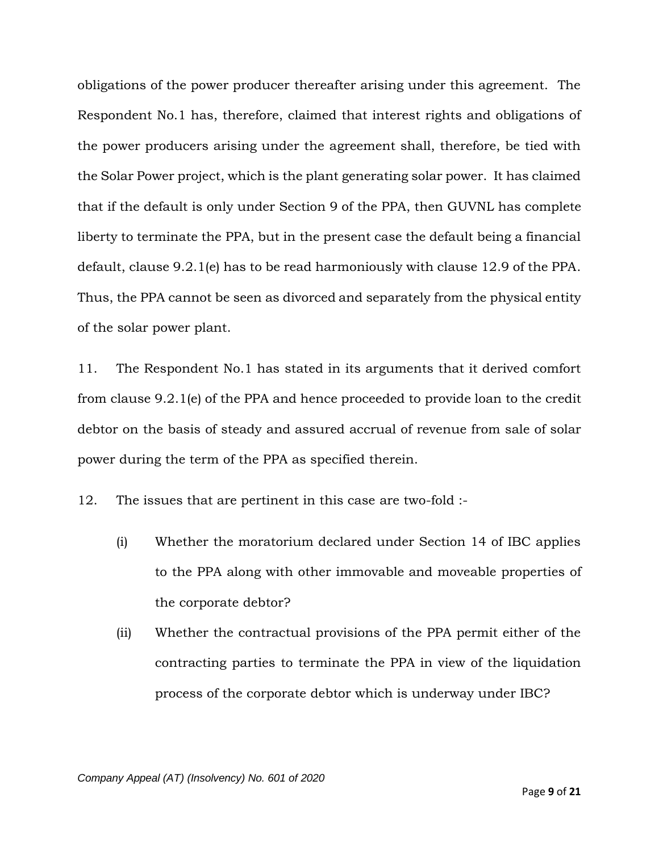obligations of the power producer thereafter arising under this agreement. The Respondent No.1 has, therefore, claimed that interest rights and obligations of the power producers arising under the agreement shall, therefore, be tied with the Solar Power project, which is the plant generating solar power. It has claimed that if the default is only under Section 9 of the PPA, then GUVNL has complete liberty to terminate the PPA, but in the present case the default being a financial default, clause 9.2.1(e) has to be read harmoniously with clause 12.9 of the PPA. Thus, the PPA cannot be seen as divorced and separately from the physical entity of the solar power plant.

11. The Respondent No.1 has stated in its arguments that it derived comfort from clause 9.2.1(e) of the PPA and hence proceeded to provide loan to the credit debtor on the basis of steady and assured accrual of revenue from sale of solar power during the term of the PPA as specified therein.

12. The issues that are pertinent in this case are two-fold :-

- (i) Whether the moratorium declared under Section 14 of IBC applies to the PPA along with other immovable and moveable properties of the corporate debtor?
- (ii) Whether the contractual provisions of the PPA permit either of the contracting parties to terminate the PPA in view of the liquidation process of the corporate debtor which is underway under IBC?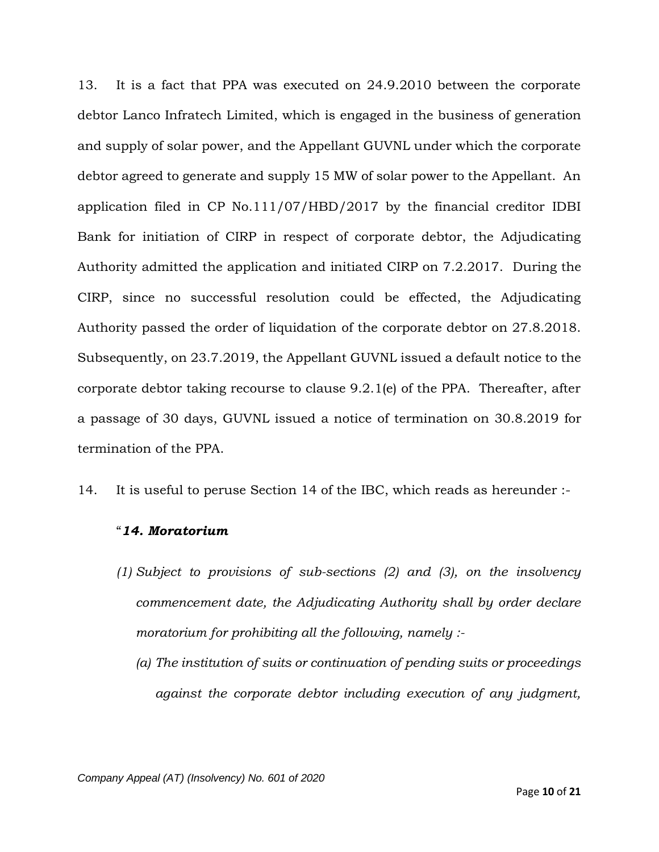13. It is a fact that PPA was executed on 24.9.2010 between the corporate debtor Lanco Infratech Limited, which is engaged in the business of generation and supply of solar power, and the Appellant GUVNL under which the corporate debtor agreed to generate and supply 15 MW of solar power to the Appellant. An application filed in CP No.111/07/HBD/2017 by the financial creditor IDBI Bank for initiation of CIRP in respect of corporate debtor, the Adjudicating Authority admitted the application and initiated CIRP on 7.2.2017. During the CIRP, since no successful resolution could be effected, the Adjudicating Authority passed the order of liquidation of the corporate debtor on 27.8.2018. Subsequently, on 23.7.2019, the Appellant GUVNL issued a default notice to the corporate debtor taking recourse to clause 9.2.1(e) of the PPA. Thereafter, after a passage of 30 days, GUVNL issued a notice of termination on 30.8.2019 for termination of the PPA.

14. It is useful to peruse Section 14 of the IBC, which reads as hereunder :-

#### "*14. Moratorium*

- *(1) Subject to provisions of sub-sections (2) and (3), on the insolvency commencement date, the Adjudicating Authority shall by order declare moratorium for prohibiting all the following, namely :-*
	- *(a) The institution of suits or continuation of pending suits or proceedings against the corporate debtor including execution of any judgment,*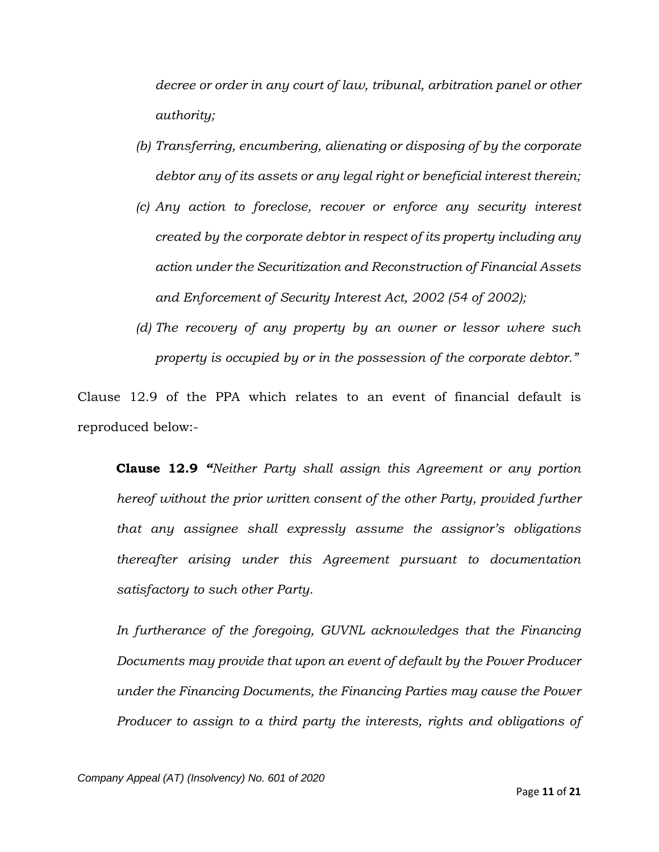*decree or order in any court of law, tribunal, arbitration panel or other authority;*

- *(b) Transferring, encumbering, alienating or disposing of by the corporate debtor any of its assets or any legal right or beneficial interest therein;*
- *(c) Any action to foreclose, recover or enforce any security interest created by the corporate debtor in respect of its property including any action under the Securitization and Reconstruction of Financial Assets and Enforcement of Security Interest Act, 2002 (54 of 2002);*
- *(d) The recovery of any property by an owner or lessor where such property is occupied by or in the possession of the corporate debtor."*

Clause 12.9 of the PPA which relates to an event of financial default is reproduced below:-

**Clause 12.9** *"Neither Party shall assign this Agreement or any portion hereof without the prior written consent of the other Party, provided further that any assignee shall expressly assume the assignor's obligations thereafter arising under this Agreement pursuant to documentation satisfactory to such other Party.*

In furtherance of the foregoing, GUVNL acknowledges that the Financing *Documents may provide that upon an event of default by the Power Producer under the Financing Documents, the Financing Parties may cause the Power Producer to assign to a third party the interests, rights and obligations of*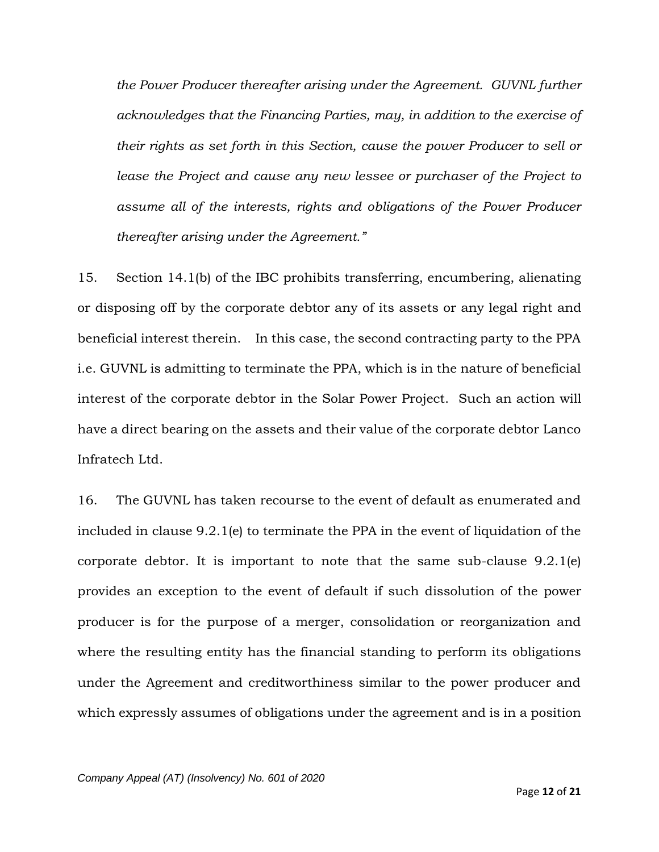*the Power Producer thereafter arising under the Agreement. GUVNL further acknowledges that the Financing Parties, may, in addition to the exercise of their rights as set forth in this Section, cause the power Producer to sell or lease the Project and cause any new lessee or purchaser of the Project to assume all of the interests, rights and obligations of the Power Producer thereafter arising under the Agreement."*

15. Section 14.1(b) of the IBC prohibits transferring, encumbering, alienating or disposing off by the corporate debtor any of its assets or any legal right and beneficial interest therein. In this case, the second contracting party to the PPA i.e. GUVNL is admitting to terminate the PPA, which is in the nature of beneficial interest of the corporate debtor in the Solar Power Project. Such an action will have a direct bearing on the assets and their value of the corporate debtor Lanco Infratech Ltd.

16. The GUVNL has taken recourse to the event of default as enumerated and included in clause 9.2.1(e) to terminate the PPA in the event of liquidation of the corporate debtor. It is important to note that the same sub-clause 9.2.1(e) provides an exception to the event of default if such dissolution of the power producer is for the purpose of a merger, consolidation or reorganization and where the resulting entity has the financial standing to perform its obligations under the Agreement and creditworthiness similar to the power producer and which expressly assumes of obligations under the agreement and is in a position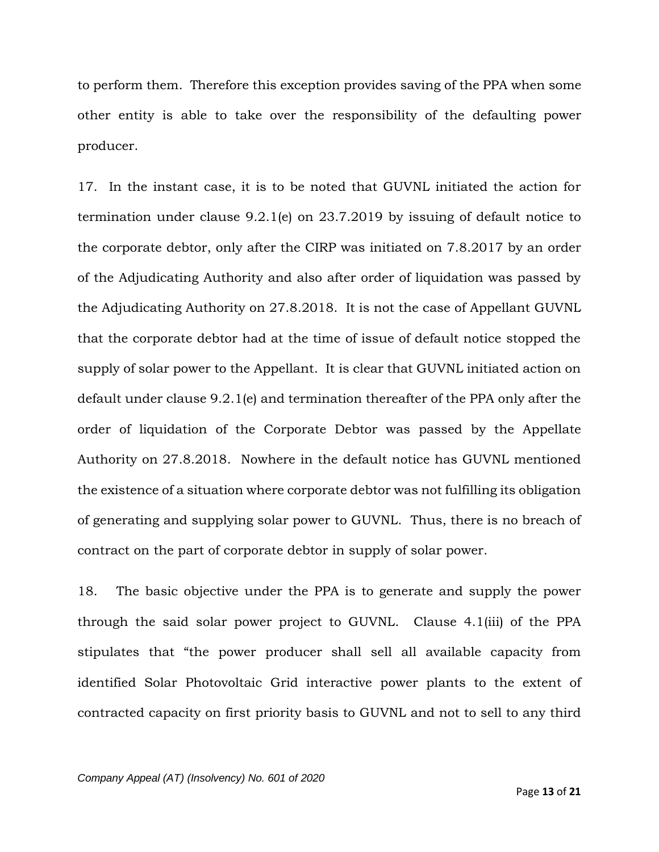to perform them. Therefore this exception provides saving of the PPA when some other entity is able to take over the responsibility of the defaulting power producer.

17. In the instant case, it is to be noted that GUVNL initiated the action for termination under clause 9.2.1(e) on 23.7.2019 by issuing of default notice to the corporate debtor, only after the CIRP was initiated on 7.8.2017 by an order of the Adjudicating Authority and also after order of liquidation was passed by the Adjudicating Authority on 27.8.2018. It is not the case of Appellant GUVNL that the corporate debtor had at the time of issue of default notice stopped the supply of solar power to the Appellant. It is clear that GUVNL initiated action on default under clause 9.2.1(e) and termination thereafter of the PPA only after the order of liquidation of the Corporate Debtor was passed by the Appellate Authority on 27.8.2018. Nowhere in the default notice has GUVNL mentioned the existence of a situation where corporate debtor was not fulfilling its obligation of generating and supplying solar power to GUVNL. Thus, there is no breach of contract on the part of corporate debtor in supply of solar power.

18. The basic objective under the PPA is to generate and supply the power through the said solar power project to GUVNL. Clause 4.1(iii) of the PPA stipulates that "the power producer shall sell all available capacity from identified Solar Photovoltaic Grid interactive power plants to the extent of contracted capacity on first priority basis to GUVNL and not to sell to any third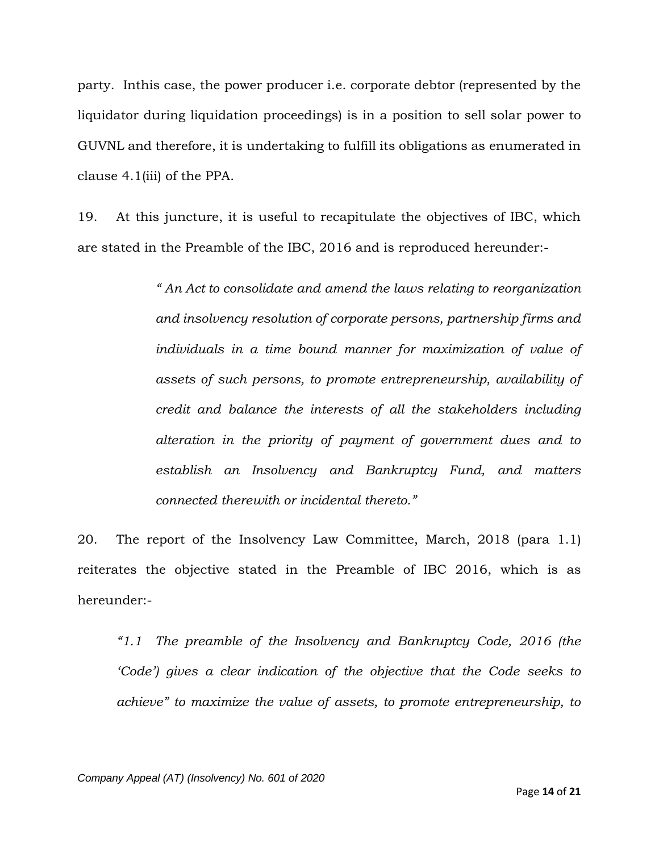party. Inthis case, the power producer i.e. corporate debtor (represented by the liquidator during liquidation proceedings) is in a position to sell solar power to GUVNL and therefore, it is undertaking to fulfill its obligations as enumerated in clause 4.1(iii) of the PPA.

19. At this juncture, it is useful to recapitulate the objectives of IBC, which are stated in the Preamble of the IBC, 2016 and is reproduced hereunder:-

> *" An Act to consolidate and amend the laws relating to reorganization and insolvency resolution of corporate persons, partnership firms and individuals in a time bound manner for maximization of value of assets of such persons, to promote entrepreneurship, availability of credit and balance the interests of all the stakeholders including alteration in the priority of payment of government dues and to establish an Insolvency and Bankruptcy Fund, and matters connected therewith or incidental thereto."*

20. The report of the Insolvency Law Committee, March, 2018 (para 1.1) reiterates the objective stated in the Preamble of IBC 2016, which is as hereunder:-

*"1.1 The preamble of the Insolvency and Bankruptcy Code, 2016 (the 'Code'*) gives a clear indication of the objective that the Code seeks to *achieve" to maximize the value of assets, to promote entrepreneurship, to*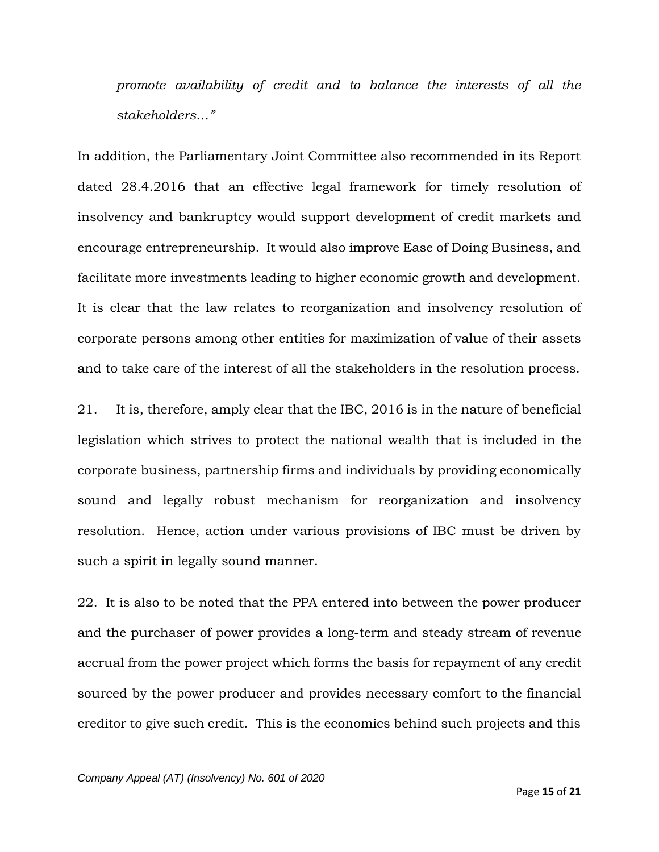*promote availability of credit and to balance the interests of all the stakeholders…"*

In addition, the Parliamentary Joint Committee also recommended in its Report dated 28.4.2016 that an effective legal framework for timely resolution of insolvency and bankruptcy would support development of credit markets and encourage entrepreneurship. It would also improve Ease of Doing Business, and facilitate more investments leading to higher economic growth and development. It is clear that the law relates to reorganization and insolvency resolution of corporate persons among other entities for maximization of value of their assets and to take care of the interest of all the stakeholders in the resolution process.

21. It is, therefore, amply clear that the IBC, 2016 is in the nature of beneficial legislation which strives to protect the national wealth that is included in the corporate business, partnership firms and individuals by providing economically sound and legally robust mechanism for reorganization and insolvency resolution. Hence, action under various provisions of IBC must be driven by such a spirit in legally sound manner.

22. It is also to be noted that the PPA entered into between the power producer and the purchaser of power provides a long-term and steady stream of revenue accrual from the power project which forms the basis for repayment of any credit sourced by the power producer and provides necessary comfort to the financial creditor to give such credit. This is the economics behind such projects and this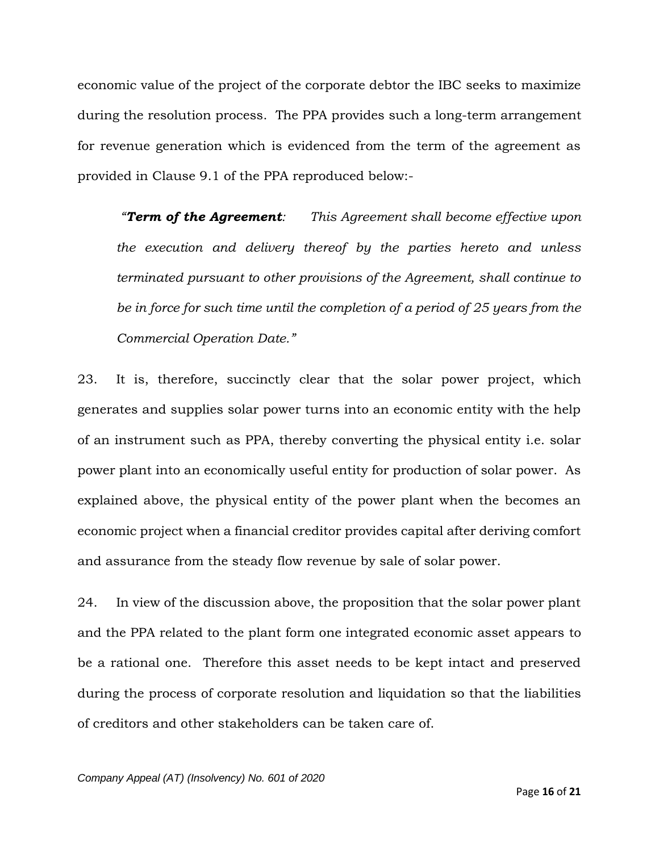economic value of the project of the corporate debtor the IBC seeks to maximize during the resolution process. The PPA provides such a long-term arrangement for revenue generation which is evidenced from the term of the agreement as provided in Clause 9.1 of the PPA reproduced below:-

*"Term of the Agreement: This Agreement shall become effective upon the execution and delivery thereof by the parties hereto and unless terminated pursuant to other provisions of the Agreement, shall continue to be in force for such time until the completion of a period of 25 years from the Commercial Operation Date."*

23. It is, therefore, succinctly clear that the solar power project, which generates and supplies solar power turns into an economic entity with the help of an instrument such as PPA, thereby converting the physical entity i.e. solar power plant into an economically useful entity for production of solar power. As explained above, the physical entity of the power plant when the becomes an economic project when a financial creditor provides capital after deriving comfort and assurance from the steady flow revenue by sale of solar power.

24. In view of the discussion above, the proposition that the solar power plant and the PPA related to the plant form one integrated economic asset appears to be a rational one. Therefore this asset needs to be kept intact and preserved during the process of corporate resolution and liquidation so that the liabilities of creditors and other stakeholders can be taken care of.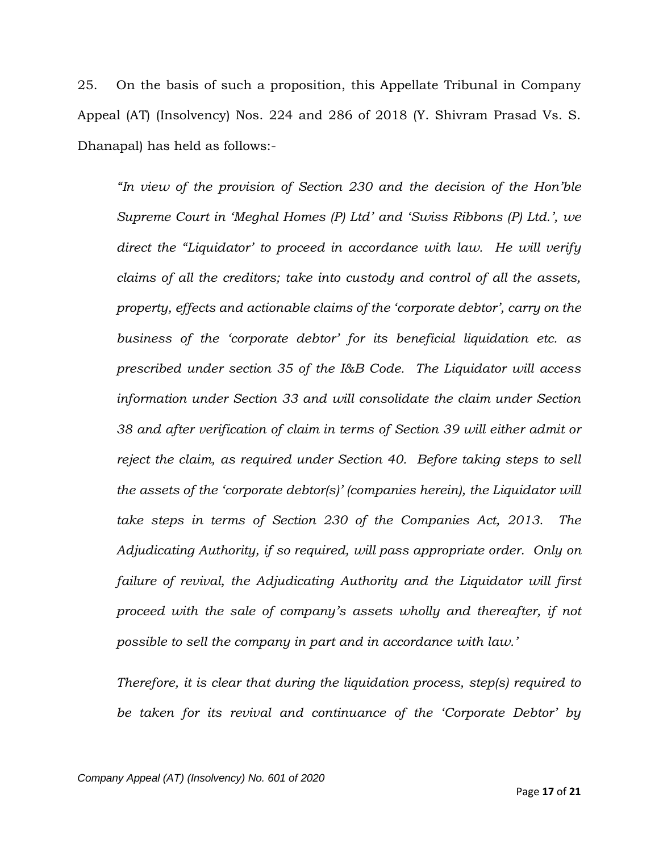25. On the basis of such a proposition, this Appellate Tribunal in Company Appeal (AT) (Insolvency) Nos. 224 and 286 of 2018 (Y. Shivram Prasad Vs. S. Dhanapal) has held as follows:-

*"In view of the provision of Section 230 and the decision of the Hon'ble Supreme Court in 'Meghal Homes (P) Ltd' and 'Swiss Ribbons (P) Ltd.', we direct the "Liquidator' to proceed in accordance with law. He will verify claims of all the creditors; take into custody and control of all the assets, property, effects and actionable claims of the 'corporate debtor', carry on the business of the 'corporate debtor' for its beneficial liquidation etc. as prescribed under section 35 of the I&B Code. The Liquidator will access information under Section 33 and will consolidate the claim under Section 38 and after verification of claim in terms of Section 39 will either admit or reject the claim, as required under Section 40. Before taking steps to sell the assets of the 'corporate debtor(s)' (companies herein), the Liquidator will take steps in terms of Section 230 of the Companies Act, 2013. The Adjudicating Authority, if so required, will pass appropriate order. Only on failure of revival, the Adjudicating Authority and the Liquidator will first proceed with the sale of company's assets wholly and thereafter, if not possible to sell the company in part and in accordance with law.'*

*Therefore, it is clear that during the liquidation process, step(s) required to be taken for its revival and continuance of the 'Corporate Debtor' by*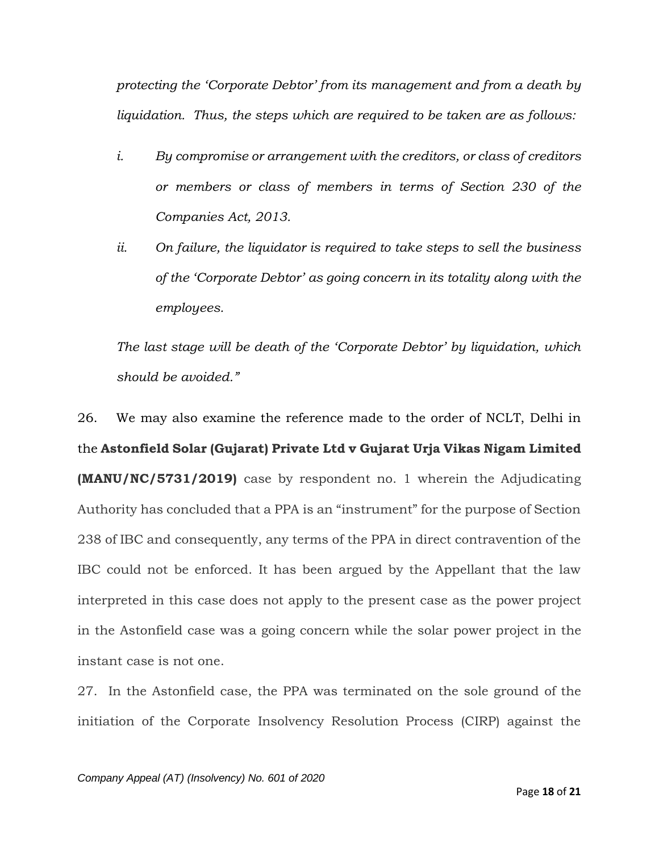*protecting the 'Corporate Debtor' from its management and from a death by liquidation. Thus, the steps which are required to be taken are as follows:*

- *i. By compromise or arrangement with the creditors, or class of creditors or members or class of members in terms of Section 230 of the Companies Act, 2013.*
- *ii. On failure, the liquidator is required to take steps to sell the business of the 'Corporate Debtor' as going concern in its totality along with the employees.*

*The last stage will be death of the 'Corporate Debtor' by liquidation, which should be avoided."*

26. We may also examine the reference made to the order of NCLT, Delhi in the **Astonfield Solar (Gujarat) Private Ltd v Gujarat Urja Vikas Nigam Limited (MANU/NC/5731/2019)** case by respondent no. 1 wherein the Adjudicating Authority has concluded that a PPA is an "instrument" for the purpose of Section 238 of IBC and consequently, any terms of the PPA in direct contravention of the IBC could not be enforced. It has been argued by the Appellant that the law interpreted in this case does not apply to the present case as the power project in the Astonfield case was a going concern while the solar power project in the instant case is not one.

27. In the Astonfield case, the PPA was terminated on the sole ground of the initiation of the Corporate Insolvency Resolution Process (CIRP) against the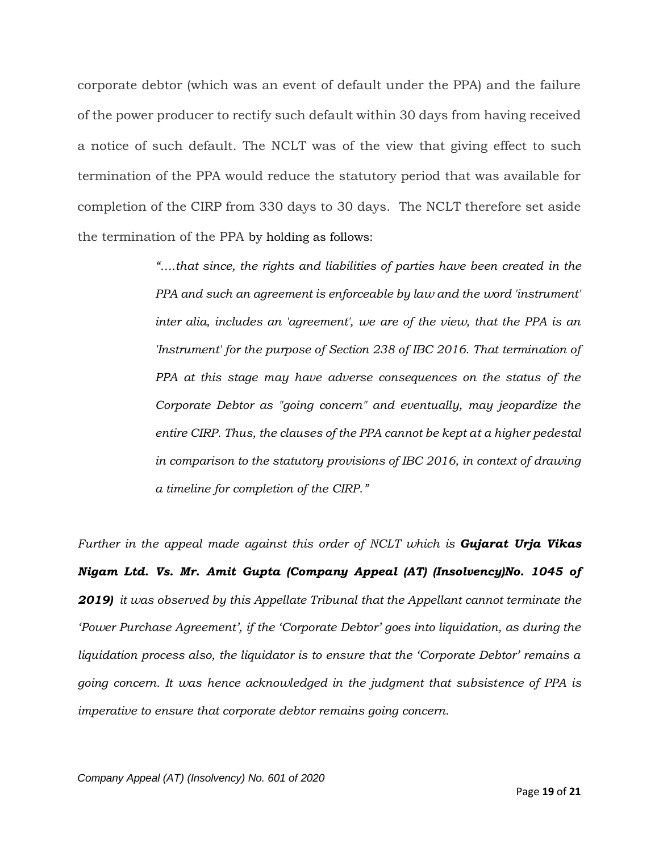corporate debtor (which was an event of default under the PPA) and the failure of the power producer to rectify such default within 30 days from having received a notice of such default. The NCLT was of the view that giving effect to such termination of the PPA would reduce the statutory period that was available for completion of the CIRP from 330 days to 30 days. The NCLT therefore set aside the termination of the PPA by holding as follows:

> *"….that since, the rights and liabilities of parties have been created in the PPA and such an agreement is enforceable by law and the word 'instrument' inter alia, includes an 'agreement', we are of the view, that the PPA is an 'Instrument' for the purpose of Section 238 of IBC 2016. That termination of PPA at this stage may have adverse consequences on the status of the Corporate Debtor as "going concern" and eventually, may jeopardize the entire CIRP. Thus, the clauses of the PPA cannot be kept at a higher pedestal in comparison to the statutory provisions of IBC 2016, in context of drawing a timeline for completion of the CIRP."*

*Further in the appeal made against this order of NCLT which is Gujarat Urja Vikas Nigam Ltd. Vs. Mr. Amit Gupta (Company Appeal (AT) (Insolvency)No. 1045 of 2019) it was observed by this Appellate Tribunal that the Appellant cannot terminate the 'Power Purchase Agreement', if the 'Corporate Debtor' goes into liquidation, as during the liquidation process also, the liquidator is to ensure that the 'Corporate Debtor' remains a going concern. It was hence acknowledged in the judgment that subsistence of PPA is imperative to ensure that corporate debtor remains going concern.*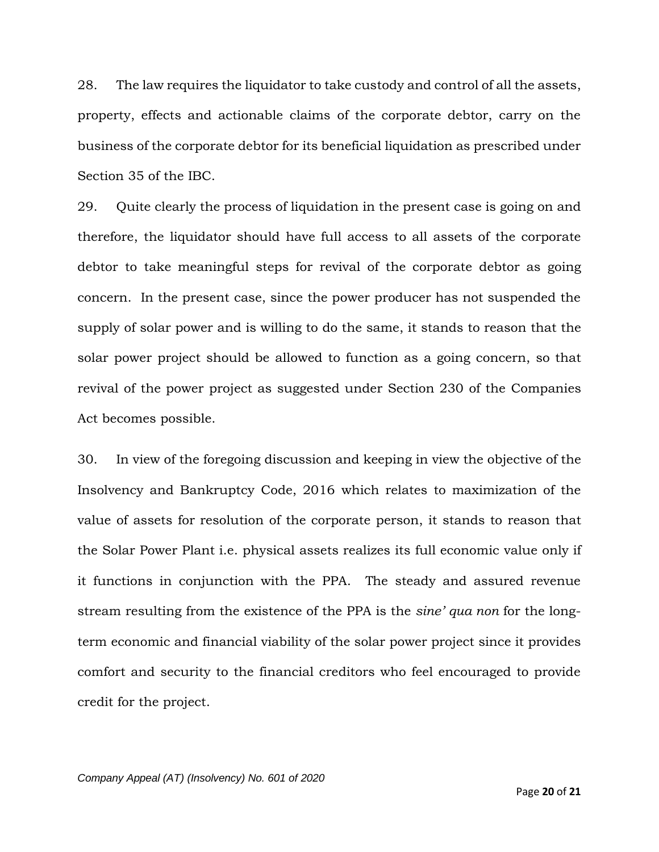28. The law requires the liquidator to take custody and control of all the assets, property, effects and actionable claims of the corporate debtor, carry on the business of the corporate debtor for its beneficial liquidation as prescribed under Section 35 of the IBC.

29. Quite clearly the process of liquidation in the present case is going on and therefore, the liquidator should have full access to all assets of the corporate debtor to take meaningful steps for revival of the corporate debtor as going concern. In the present case, since the power producer has not suspended the supply of solar power and is willing to do the same, it stands to reason that the solar power project should be allowed to function as a going concern, so that revival of the power project as suggested under Section 230 of the Companies Act becomes possible.

30. In view of the foregoing discussion and keeping in view the objective of the Insolvency and Bankruptcy Code, 2016 which relates to maximization of the value of assets for resolution of the corporate person, it stands to reason that the Solar Power Plant i.e. physical assets realizes its full economic value only if it functions in conjunction with the PPA. The steady and assured revenue stream resulting from the existence of the PPA is the *sine' qua non* for the longterm economic and financial viability of the solar power project since it provides comfort and security to the financial creditors who feel encouraged to provide credit for the project.